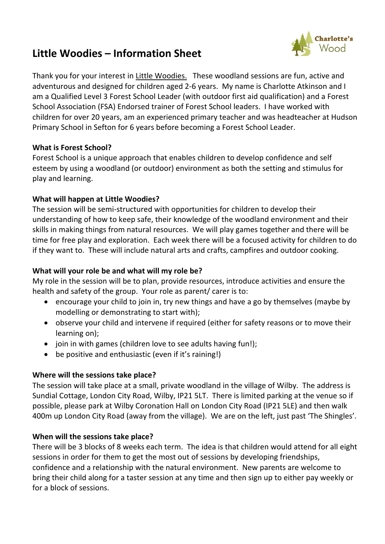

# **Little Woodies – Information Sheet**

Thank you for your interest in Little Woodies. These woodland sessions are fun, active and adventurous and designed for children aged 2-6 years. My name is Charlotte Atkinson and I am a Qualified Level 3 Forest School Leader (with outdoor first aid qualification) and a Forest School Association (FSA) Endorsed trainer of Forest School leaders. I have worked with children for over 20 years, am an experienced primary teacher and was headteacher at Hudson Primary School in Sefton for 6 years before becoming a Forest School Leader.

### **What is Forest School?**

Forest School is a unique approach that enables children to develop confidence and self esteem by using a woodland (or outdoor) environment as both the setting and stimulus for play and learning.

### **What will happen at Little Woodies?**

The session will be semi-structured with opportunities for children to develop their understanding of how to keep safe, their knowledge of the woodland environment and their skills in making things from natural resources. We will play games together and there will be time for free play and exploration. Each week there will be a focused activity for children to do if they want to. These will include natural arts and crafts, campfires and outdoor cooking.

## **What will your role be and what will my role be?**

My role in the session will be to plan, provide resources, introduce activities and ensure the health and safety of the group. Your role as parent/ carer is to:

- encourage your child to join in, try new things and have a go by themselves (maybe by modelling or demonstrating to start with);
- observe your child and intervene if required (either for safety reasons or to move their learning on);
- join in with games (children love to see adults having fun!);
- be positive and enthusiastic (even if it's raining!)

#### **Where will the sessions take place?**

The session will take place at a small, private woodland in the village of Wilby. The address is Sundial Cottage, London City Road, Wilby, IP21 5LT. There is limited parking at the venue so if possible, please park at Wilby Coronation Hall on London City Road (IP21 5LE) and then walk 400m up London City Road (away from the village). We are on the left, just past 'The Shingles'.

#### **When will the sessions take place?**

There will be 3 blocks of 8 weeks each term. The idea is that children would attend for all eight sessions in order for them to get the most out of sessions by developing friendships, confidence and a relationship with the natural environment. New parents are welcome to bring their child along for a taster session at any time and then sign up to either pay weekly or for a block of sessions.